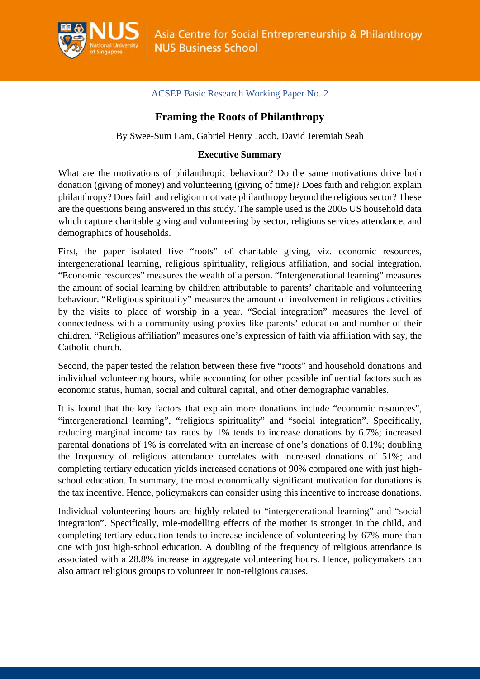

## ACSEP Basic Research Working Paper No. 2

# **Framing the Roots of Philanthropy**

By Swee-Sum Lam, Gabriel Henry Jacob, David Jeremiah Seah

## **Executive Summary**

What are the motivations of philanthropic behaviour? Do the same motivations drive both donation (giving of money) and volunteering (giving of time)? Does faith and religion explain philanthropy? Does faith and religion motivate philanthropy beyond the religious sector? These are the questions being answered in this study. The sample used is the 2005 US household data which capture charitable giving and volunteering by sector, religious services attendance, and demographics of households.

First, the paper isolated five "roots" of charitable giving, viz. economic resources, intergenerational learning, religious spirituality, religious affiliation, and social integration. "Economic resources" measures the wealth of a person. "Intergenerational learning" measures the amount of social learning by children attributable to parents' charitable and volunteering behaviour. "Religious spirituality" measures the amount of involvement in religious activities by the visits to place of worship in a year. "Social integration" measures the level of connectedness with a community using proxies like parents' education and number of their children. "Religious affiliation" measures one's expression of faith via affiliation with say, the Catholic church.

Second, the paper tested the relation between these five "roots" and household donations and individual volunteering hours, while accounting for other possible influential factors such as economic status, human, social and cultural capital, and other demographic variables.

It is found that the key factors that explain more donations include "economic resources", "intergenerational learning", "religious spirituality" and "social integration". Specifically, reducing marginal income tax rates by 1% tends to increase donations by 6.7%; increased parental donations of 1% is correlated with an increase of one's donations of 0.1%; doubling the frequency of religious attendance correlates with increased donations of 51%; and completing tertiary education yields increased donations of 90% compared one with just highschool education. In summary, the most economically significant motivation for donations is the tax incentive. Hence, policymakers can consider using this incentive to increase donations.

Individual volunteering hours are highly related to "intergenerational learning" and "social integration". Specifically, role-modelling effects of the mother is stronger in the child, and completing tertiary education tends to increase incidence of volunteering by 67% more than one with just high-school education. A doubling of the frequency of religious attendance is associated with a 28.8% increase in aggregate volunteering hours. Hence, policymakers can also attract religious groups to volunteer in non-religious causes.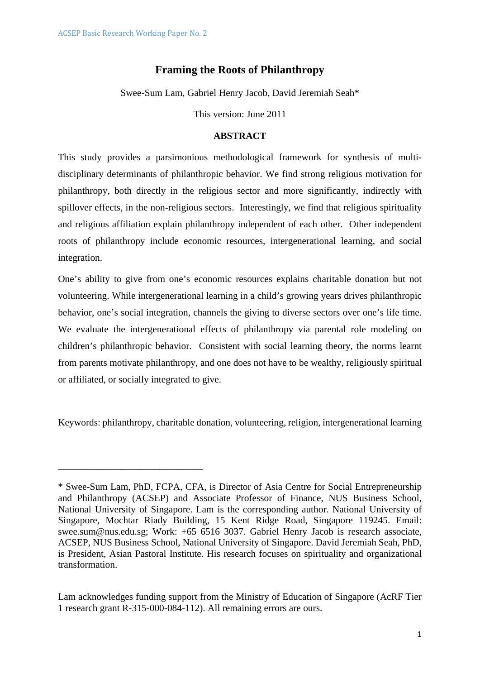\_\_\_\_\_\_\_\_\_\_\_\_\_\_\_\_\_\_\_\_\_\_\_\_\_\_\_\_\_\_

## **Framing the Roots of Philanthropy**

Swee-Sum Lam, Gabriel Henry Jacob, David Jeremiah Seah\*

This version: June 2011

#### **ABSTRACT**

This study provides a parsimonious methodological framework for synthesis of multidisciplinary determinants of philanthropic behavior. We find strong religious motivation for philanthropy, both directly in the religious sector and more significantly, indirectly with spillover effects, in the non-religious sectors. Interestingly, we find that religious spirituality and religious affiliation explain philanthropy independent of each other. Other independent roots of philanthropy include economic resources, intergenerational learning, and social integration.

One's ability to give from one's economic resources explains charitable donation but not volunteering. While intergenerational learning in a child's growing years drives philanthropic behavior, one's social integration, channels the giving to diverse sectors over one's life time. We evaluate the intergenerational effects of philanthropy via parental role modeling on children's philanthropic behavior. Consistent with social learning theory, the norms learnt from parents motivate philanthropy, and one does not have to be wealthy, religiously spiritual or affiliated, or socially integrated to give.

Keywords: philanthropy, charitable donation, volunteering, religion, intergenerational learning

<sup>\*</sup> Swee-Sum Lam, PhD, FCPA, CFA, is Director of Asia Centre for Social Entrepreneurship and Philanthropy (ACSEP) and Associate Professor of Finance, NUS Business School, National University of Singapore. Lam is the corresponding author. National University of Singapore, Mochtar Riady Building, 15 Kent Ridge Road, Singapore 119245. Email: swee.sum@nus.edu.sg; Work: +65 6516 3037. Gabriel Henry Jacob is research associate, ACSEP, NUS Business School, National University of Singapore. David Jeremiah Seah, PhD, is President, Asian Pastoral Institute. His research focuses on spirituality and organizational transformation.

Lam acknowledges funding support from the Ministry of Education of Singapore (AcRF Tier 1 research grant R-315-000-084-112). All remaining errors are ours.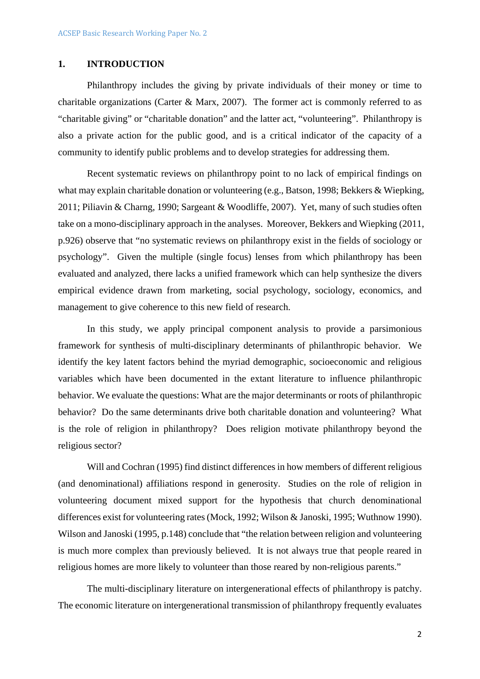## **1. INTRODUCTION**

Philanthropy includes the giving by private individuals of their money or time to charitable organizations (Carter  $&$  Marx, 2007). The former act is commonly referred to as "charitable giving" or "charitable donation" and the latter act, "volunteering". Philanthropy is also a private action for the public good, and is a critical indicator of the capacity of a community to identify public problems and to develop strategies for addressing them.

Recent systematic reviews on philanthropy point to no lack of empirical findings on what may explain charitable donation or volunteering (e.g., Batson, 1998; Bekkers & Wiepking, 2011; Piliavin & Charng, 1990; Sargeant & Woodliffe, 2007). Yet, many of such studies often take on a mono-disciplinary approach in the analyses. Moreover, Bekkers and Wiepking (2011, p.926) observe that "no systematic reviews on philanthropy exist in the fields of sociology or psychology". Given the multiple (single focus) lenses from which philanthropy has been evaluated and analyzed, there lacks a unified framework which can help synthesize the divers empirical evidence drawn from marketing, social psychology, sociology, economics, and management to give coherence to this new field of research.

In this study, we apply principal component analysis to provide a parsimonious framework for synthesis of multi-disciplinary determinants of philanthropic behavior. We identify the key latent factors behind the myriad demographic, socioeconomic and religious variables which have been documented in the extant literature to influence philanthropic behavior. We evaluate the questions: What are the major determinants or roots of philanthropic behavior? Do the same determinants drive both charitable donation and volunteering? What is the role of religion in philanthropy? Does religion motivate philanthropy beyond the religious sector?

Will and Cochran (1995) find distinct differences in how members of different religious (and denominational) affiliations respond in generosity. Studies on the role of religion in volunteering document mixed support for the hypothesis that church denominational differences exist for volunteering rates (Mock, 1992; Wilson & Janoski, 1995; Wuthnow 1990). Wilson and Janoski (1995, p.148) conclude that "the relation between religion and volunteering is much more complex than previously believed. It is not always true that people reared in religious homes are more likely to volunteer than those reared by non-religious parents."

The multi-disciplinary literature on intergenerational effects of philanthropy is patchy. The economic literature on intergenerational transmission of philanthropy frequently evaluates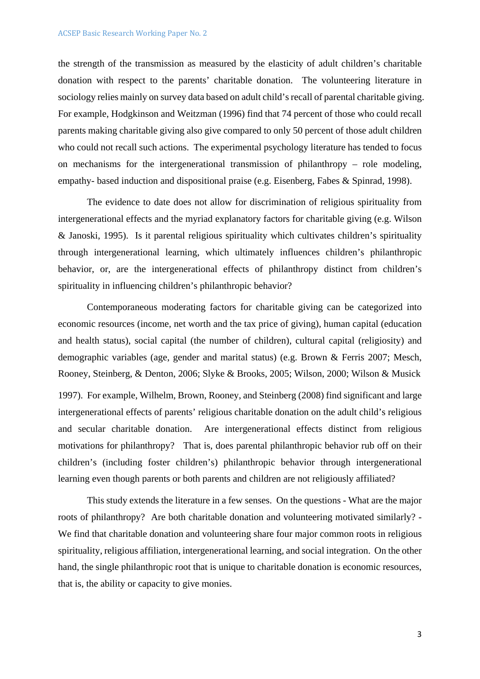the strength of the transmission as measured by the elasticity of adult children's charitable donation with respect to the parents' charitable donation. The volunteering literature in sociology relies mainly on survey data based on adult child's recall of parental charitable giving. For example, Hodgkinson and Weitzman (1996) find that 74 percent of those who could recall parents making charitable giving also give compared to only 50 percent of those adult children who could not recall such actions. The experimental psychology literature has tended to focus on mechanisms for the intergenerational transmission of philanthropy – role modeling, empathy- based induction and dispositional praise (e.g. Eisenberg, Fabes & Spinrad, 1998).

The evidence to date does not allow for discrimination of religious spirituality from intergenerational effects and the myriad explanatory factors for charitable giving (e.g. Wilson & Janoski, 1995). Is it parental religious spirituality which cultivates children's spirituality through intergenerational learning, which ultimately influences children's philanthropic behavior, or, are the intergenerational effects of philanthropy distinct from children's spirituality in influencing children's philanthropic behavior?

Contemporaneous moderating factors for charitable giving can be categorized into economic resources (income, net worth and the tax price of giving), human capital (education and health status), social capital (the number of children), cultural capital (religiosity) and demographic variables (age, gender and marital status) (e.g. Brown & Ferris 2007; Mesch, Rooney, Steinberg, & Denton, 2006; Slyke & Brooks, 2005; Wilson, 2000; Wilson & Musick 1997). For example, Wilhelm, Brown, Rooney, and Steinberg (2008) find significant and large intergenerational effects of parents' religious charitable donation on the adult child's religious and secular charitable donation. Are intergenerational effects distinct from religious motivations for philanthropy? That is, does parental philanthropic behavior rub off on their children's (including foster children's) philanthropic behavior through intergenerational learning even though parents or both parents and children are not religiously affiliated?

This study extends the literature in a few senses. On the questions - What are the major roots of philanthropy? Are both charitable donation and volunteering motivated similarly? - We find that charitable donation and volunteering share four major common roots in religious spirituality, religious affiliation, intergenerational learning, and social integration. On the other hand, the single philanthropic root that is unique to charitable donation is economic resources, that is, the ability or capacity to give monies.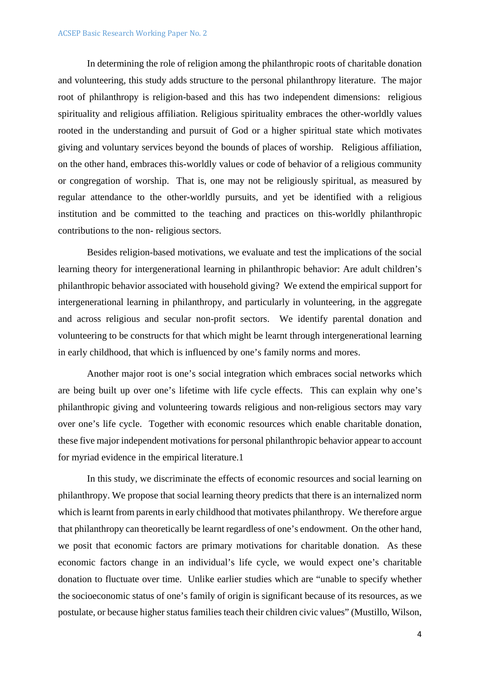In determining the role of religion among the philanthropic roots of charitable donation and volunteering, this study adds structure to the personal philanthropy literature. The major root of philanthropy is religion-based and this has two independent dimensions: religious spirituality and religious affiliation. Religious spirituality embraces the other-worldly values rooted in the understanding and pursuit of God or a higher spiritual state which motivates giving and voluntary services beyond the bounds of places of worship. Religious affiliation, on the other hand, embraces this-worldly values or code of behavior of a religious community or congregation of worship. That is, one may not be religiously spiritual, as measured by regular attendance to the other-worldly pursuits, and yet be identified with a religious institution and be committed to the teaching and practices on this-worldly philanthropic contributions to the non- religious sectors.

Besides religion-based motivations, we evaluate and test the implications of the social learning theory for intergenerational learning in philanthropic behavior: Are adult children's philanthropic behavior associated with household giving? We extend the empirical support for intergenerational learning in philanthropy, and particularly in volunteering, in the aggregate and across religious and secular non-profit sectors. We identify parental donation and volunteering to be constructs for that which might be learnt through intergenerational learning in early childhood, that which is influenced by one's family norms and mores.

Another major root is one's social integration which embraces social networks which are being built up over one's lifetime with life cycle effects. This can explain why one's philanthropic giving and volunteering towards religious and non-religious sectors may vary over one's life cycle. Together with economic resources which enable charitable donation, these five major independent motivations for personal philanthropic behavior appear to account for myriad evidence in the empirical literature.1

In this study, we discriminate the effects of economic resources and social learning on philanthropy. We propose that social learning theory predicts that there is an internalized norm which is learnt from parents in early childhood that motivates philanthropy. We therefore argue that philanthropy can theoretically be learnt regardless of one's endowment. On the other hand, we posit that economic factors are primary motivations for charitable donation. As these economic factors change in an individual's life cycle, we would expect one's charitable donation to fluctuate over time. Unlike earlier studies which are "unable to specify whether the socioeconomic status of one's family of origin is significant because of its resources, as we postulate, or because higher status families teach their children civic values" (Mustillo, Wilson,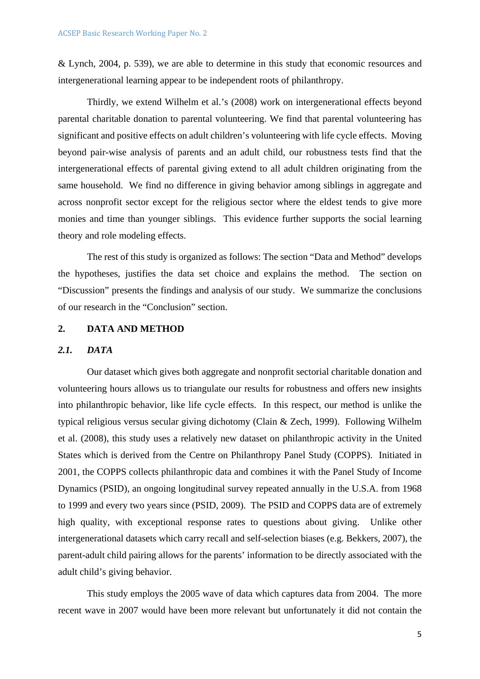& Lynch, 2004, p. 539), we are able to determine in this study that economic resources and intergenerational learning appear to be independent roots of philanthropy.

Thirdly, we extend Wilhelm et al.'s (2008) work on intergenerational effects beyond parental charitable donation to parental volunteering. We find that parental volunteering has significant and positive effects on adult children's volunteering with life cycle effects. Moving beyond pair-wise analysis of parents and an adult child, our robustness tests find that the intergenerational effects of parental giving extend to all adult children originating from the same household. We find no difference in giving behavior among siblings in aggregate and across nonprofit sector except for the religious sector where the eldest tends to give more monies and time than younger siblings. This evidence further supports the social learning theory and role modeling effects.

The rest of this study is organized as follows: The section "Data and Method" develops the hypotheses, justifies the data set choice and explains the method. The section on "Discussion" presents the findings and analysis of our study. We summarize the conclusions of our research in the "Conclusion" section.

### **2. DATA AND METHOD**

#### *2.1. DATA*

Our dataset which gives both aggregate and nonprofit sectorial charitable donation and volunteering hours allows us to triangulate our results for robustness and offers new insights into philanthropic behavior, like life cycle effects. In this respect, our method is unlike the typical religious versus secular giving dichotomy (Clain & Zech, 1999). Following Wilhelm et al. (2008), this study uses a relatively new dataset on philanthropic activity in the United States which is derived from the Centre on Philanthropy Panel Study (COPPS). Initiated in 2001, the COPPS collects philanthropic data and combines it with the Panel Study of Income Dynamics (PSID), an ongoing longitudinal survey repeated annually in the U.S.A. from 1968 to 1999 and every two years since (PSID, 2009). The PSID and COPPS data are of extremely high quality, with exceptional response rates to questions about giving. Unlike other intergenerational datasets which carry recall and self-selection biases (e.g. Bekkers, 2007), the parent-adult child pairing allows for the parents' information to be directly associated with the adult child's giving behavior.

This study employs the 2005 wave of data which captures data from 2004. The more recent wave in 2007 would have been more relevant but unfortunately it did not contain the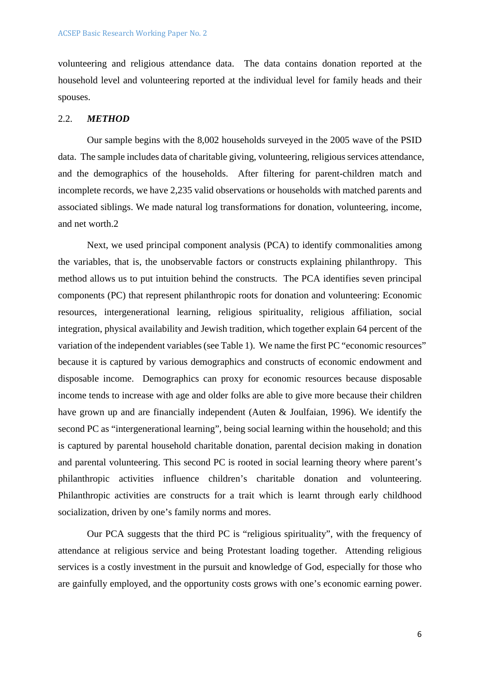volunteering and religious attendance data. The data contains donation reported at the household level and volunteering reported at the individual level for family heads and their spouses.

#### 2.2. *METHOD*

Our sample begins with the 8,002 households surveyed in the 2005 wave of the PSID data. The sample includes data of charitable giving, volunteering, religious services attendance, and the demographics of the households. After filtering for parent-children match and incomplete records, we have 2,235 valid observations or households with matched parents and associated siblings. We made natural log transformations for donation, volunteering, income, and net worth.2

Next, we used principal component analysis (PCA) to identify commonalities among the variables, that is, the unobservable factors or constructs explaining philanthropy. This method allows us to put intuition behind the constructs. The PCA identifies seven principal components (PC) that represent philanthropic roots for donation and volunteering: Economic resources, intergenerational learning, religious spirituality, religious affiliation, social integration, physical availability and Jewish tradition, which together explain 64 percent of the variation of the independent variables (see Table 1). We name the first PC "economic resources" because it is captured by various demographics and constructs of economic endowment and disposable income. Demographics can proxy for economic resources because disposable income tends to increase with age and older folks are able to give more because their children have grown up and are financially independent (Auten & Joulfaian, 1996). We identify the second PC as "intergenerational learning", being social learning within the household; and this is captured by parental household charitable donation, parental decision making in donation and parental volunteering. This second PC is rooted in social learning theory where parent's philanthropic activities influence children's charitable donation and volunteering. Philanthropic activities are constructs for a trait which is learnt through early childhood socialization, driven by one's family norms and mores.

Our PCA suggests that the third PC is "religious spirituality", with the frequency of attendance at religious service and being Protestant loading together. Attending religious services is a costly investment in the pursuit and knowledge of God, especially for those who are gainfully employed, and the opportunity costs grows with one's economic earning power.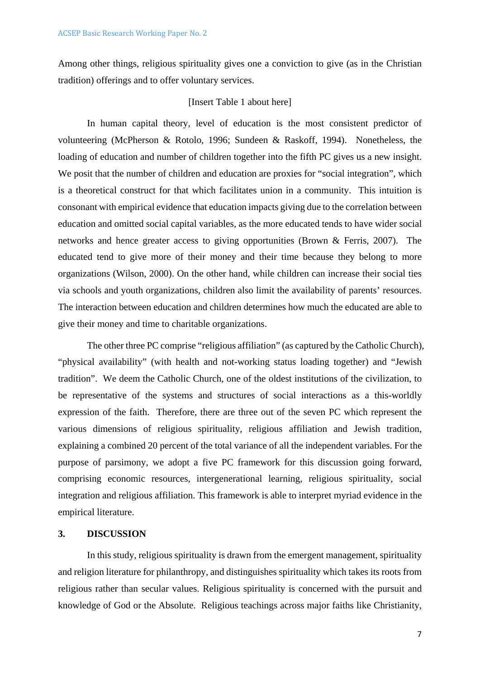Among other things, religious spirituality gives one a conviction to give (as in the Christian tradition) offerings and to offer voluntary services.

## [Insert Table 1 about here]

In human capital theory, level of education is the most consistent predictor of volunteering (McPherson & Rotolo, 1996; Sundeen & Raskoff, 1994). Nonetheless, the loading of education and number of children together into the fifth PC gives us a new insight. We posit that the number of children and education are proxies for "social integration", which is a theoretical construct for that which facilitates union in a community. This intuition is consonant with empirical evidence that education impacts giving due to the correlation between education and omitted social capital variables, as the more educated tends to have wider social networks and hence greater access to giving opportunities (Brown & Ferris, 2007). The educated tend to give more of their money and their time because they belong to more organizations (Wilson, 2000). On the other hand, while children can increase their social ties via schools and youth organizations, children also limit the availability of parents' resources. The interaction between education and children determines how much the educated are able to give their money and time to charitable organizations.

The other three PC comprise "religious affiliation" (as captured by the Catholic Church), "physical availability" (with health and not-working status loading together) and "Jewish tradition". We deem the Catholic Church, one of the oldest institutions of the civilization, to be representative of the systems and structures of social interactions as a this-worldly expression of the faith. Therefore, there are three out of the seven PC which represent the various dimensions of religious spirituality, religious affiliation and Jewish tradition, explaining a combined 20 percent of the total variance of all the independent variables. For the purpose of parsimony, we adopt a five PC framework for this discussion going forward, comprising economic resources, intergenerational learning, religious spirituality, social integration and religious affiliation. This framework is able to interpret myriad evidence in the empirical literature.

## **3. DISCUSSION**

In this study, religious spirituality is drawn from the emergent management, spirituality and religion literature for philanthropy, and distinguishes spirituality which takes its roots from religious rather than secular values. Religious spirituality is concerned with the pursuit and knowledge of God or the Absolute. Religious teachings across major faiths like Christianity,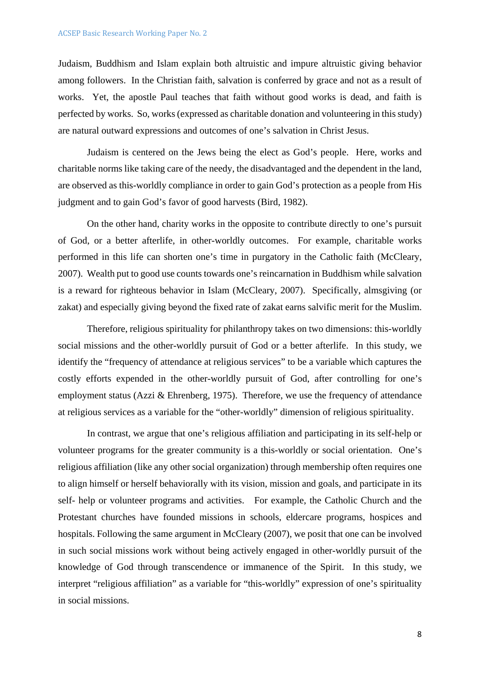Judaism, Buddhism and Islam explain both altruistic and impure altruistic giving behavior among followers. In the Christian faith, salvation is conferred by grace and not as a result of works. Yet, the apostle Paul teaches that faith without good works is dead, and faith is perfected by works. So, works (expressed as charitable donation and volunteering in this study) are natural outward expressions and outcomes of one's salvation in Christ Jesus.

Judaism is centered on the Jews being the elect as God's people. Here, works and charitable norms like taking care of the needy, the disadvantaged and the dependent in the land, are observed as this-worldly compliance in order to gain God's protection as a people from His judgment and to gain God's favor of good harvests (Bird, 1982).

On the other hand, charity works in the opposite to contribute directly to one's pursuit of God, or a better afterlife, in other-worldly outcomes. For example, charitable works performed in this life can shorten one's time in purgatory in the Catholic faith (McCleary, 2007). Wealth put to good use counts towards one's reincarnation in Buddhism while salvation is a reward for righteous behavior in Islam (McCleary, 2007). Specifically, almsgiving (or zakat) and especially giving beyond the fixed rate of zakat earns salvific merit for the Muslim.

Therefore, religious spirituality for philanthropy takes on two dimensions: this-worldly social missions and the other-worldly pursuit of God or a better afterlife. In this study, we identify the "frequency of attendance at religious services" to be a variable which captures the costly efforts expended in the other-worldly pursuit of God, after controlling for one's employment status (Azzi & Ehrenberg, 1975). Therefore, we use the frequency of attendance at religious services as a variable for the "other-worldly" dimension of religious spirituality.

In contrast, we argue that one's religious affiliation and participating in its self-help or volunteer programs for the greater community is a this-worldly or social orientation. One's religious affiliation (like any other social organization) through membership often requires one to align himself or herself behaviorally with its vision, mission and goals, and participate in its self- help or volunteer programs and activities. For example, the Catholic Church and the Protestant churches have founded missions in schools, eldercare programs, hospices and hospitals. Following the same argument in McCleary (2007), we posit that one can be involved in such social missions work without being actively engaged in other-worldly pursuit of the knowledge of God through transcendence or immanence of the Spirit. In this study, we interpret "religious affiliation" as a variable for "this-worldly" expression of one's spirituality in social missions.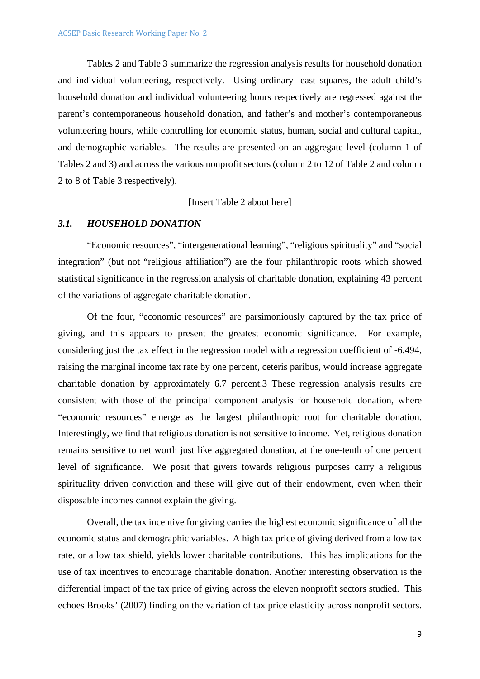Tables 2 and Table 3 summarize the regression analysis results for household donation and individual volunteering, respectively. Using ordinary least squares, the adult child's household donation and individual volunteering hours respectively are regressed against the parent's contemporaneous household donation, and father's and mother's contemporaneous volunteering hours, while controlling for economic status, human, social and cultural capital, and demographic variables. The results are presented on an aggregate level (column 1 of Tables 2 and 3) and across the various nonprofit sectors (column 2 to 12 of Table 2 and column 2 to 8 of Table 3 respectively).

[Insert Table 2 about here]

#### *3.1. HOUSEHOLD DONATION*

"Economic resources", "intergenerational learning", "religious spirituality" and "social integration" (but not "religious affiliation") are the four philanthropic roots which showed statistical significance in the regression analysis of charitable donation, explaining 43 percent of the variations of aggregate charitable donation.

Of the four, "economic resources" are parsimoniously captured by the tax price of giving, and this appears to present the greatest economic significance. For example, considering just the tax effect in the regression model with a regression coefficient of -6.494, raising the marginal income tax rate by one percent, ceteris paribus, would increase aggregate charitable donation by approximately 6.7 percent.3 These regression analysis results are consistent with those of the principal component analysis for household donation, where "economic resources" emerge as the largest philanthropic root for charitable donation. Interestingly, we find that religious donation is not sensitive to income. Yet, religious donation remains sensitive to net worth just like aggregated donation, at the one-tenth of one percent level of significance. We posit that givers towards religious purposes carry a religious spirituality driven conviction and these will give out of their endowment, even when their disposable incomes cannot explain the giving.

Overall, the tax incentive for giving carries the highest economic significance of all the economic status and demographic variables. A high tax price of giving derived from a low tax rate, or a low tax shield, yields lower charitable contributions. This has implications for the use of tax incentives to encourage charitable donation. Another interesting observation is the differential impact of the tax price of giving across the eleven nonprofit sectors studied. This echoes Brooks' (2007) finding on the variation of tax price elasticity across nonprofit sectors.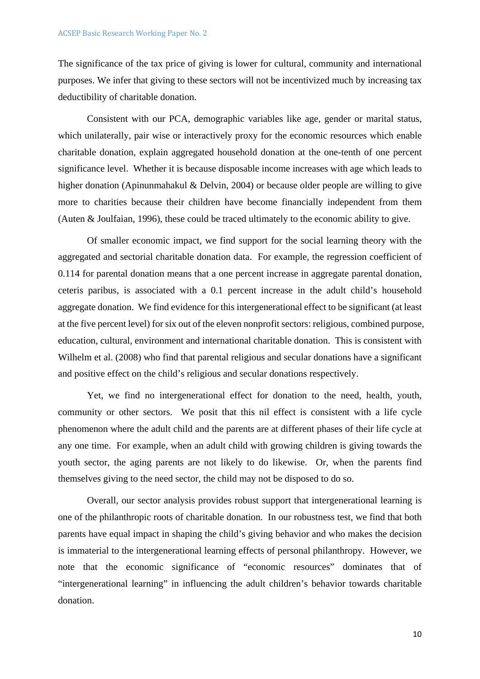The significance of the tax price of giving is lower for cultural, community and international purposes. We infer that giving to these sectors will not be incentivized much by increasing tax deductibility of charitable donation.

Consistent with our PCA, demographic variables like age, gender or marital status, which unilaterally, pair wise or interactively proxy for the economic resources which enable charitable donation, explain aggregated household donation at the one-tenth of one percent significance level. Whether it is because disposable income increases with age which leads to higher donation (Apinunmahakul & Delvin, 2004) or because older people are willing to give more to charities because their children have become financially independent from them (Auten & Joulfaian, 1996), these could be traced ultimately to the economic ability to give.

Of smaller economic impact, we find support for the social learning theory with the aggregated and sectorial charitable donation data. For example, the regression coefficient of 0.114 for parental donation means that a one percent increase in aggregate parental donation, ceteris paribus, is associated with a 0.1 percent increase in the adult child's household aggregate donation. We find evidence for this intergenerational effect to be significant (at least at the five percent level) for six out of the eleven nonprofit sectors: religious, combined purpose, education, cultural, environment and international charitable donation. This is consistent with Wilhelm et al. (2008) who find that parental religious and secular donations have a significant and positive effect on the child's religious and secular donations respectively.

Yet, we find no intergenerational effect for donation to the need, health, youth, community or other sectors. We posit that this nil effect is consistent with a life cycle phenomenon where the adult child and the parents are at different phases of their life cycle at any one time. For example, when an adult child with growing children is giving towards the youth sector, the aging parents are not likely to do likewise. Or, when the parents find themselves giving to the need sector, the child may not be disposed to do so.

Overall, our sector analysis provides robust support that intergenerational learning is one of the philanthropic roots of charitable donation. In our robustness test, we find that both parents have equal impact in shaping the child's giving behavior and who makes the decision is immaterial to the intergenerational learning effects of personal philanthropy. However, we note that the economic significance of "economic resources" dominates that of "intergenerational learning" in influencing the adult children's behavior towards charitable donation.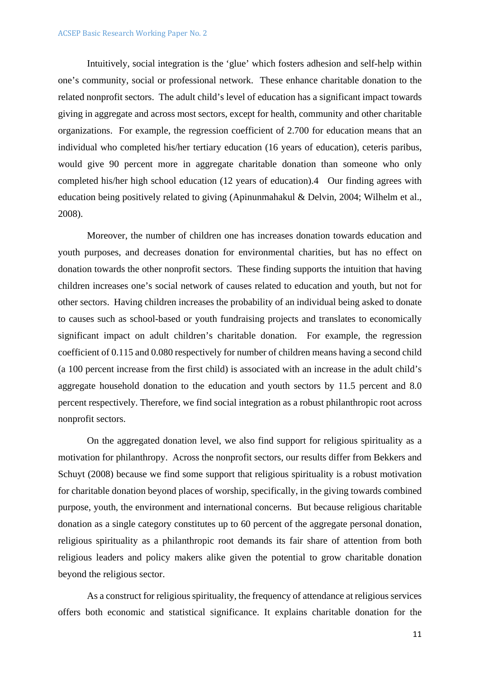#### ACSEP Basic Research Working Paper No. 2

Intuitively, social integration is the 'glue' which fosters adhesion and self-help within one's community, social or professional network. These enhance charitable donation to the related nonprofit sectors. The adult child's level of education has a significant impact towards giving in aggregate and across most sectors, except for health, community and other charitable organizations. For example, the regression coefficient of 2.700 for education means that an individual who completed his/her tertiary education (16 years of education), ceteris paribus, would give 90 percent more in aggregate charitable donation than someone who only completed his/her high school education (12 years of education).4 Our finding agrees with education being positively related to giving (Apinunmahakul & Delvin, 2004; Wilhelm et al., 2008).

Moreover, the number of children one has increases donation towards education and youth purposes, and decreases donation for environmental charities, but has no effect on donation towards the other nonprofit sectors. These finding supports the intuition that having children increases one's social network of causes related to education and youth, but not for other sectors. Having children increases the probability of an individual being asked to donate to causes such as school-based or youth fundraising projects and translates to economically significant impact on adult children's charitable donation. For example, the regression coefficient of 0.115 and 0.080 respectively for number of children means having a second child (a 100 percent increase from the first child) is associated with an increase in the adult child's aggregate household donation to the education and youth sectors by 11.5 percent and 8.0 percent respectively. Therefore, we find social integration as a robust philanthropic root across nonprofit sectors.

On the aggregated donation level, we also find support for religious spirituality as a motivation for philanthropy. Across the nonprofit sectors, our results differ from Bekkers and Schuyt (2008) because we find some support that religious spirituality is a robust motivation for charitable donation beyond places of worship, specifically, in the giving towards combined purpose, youth, the environment and international concerns. But because religious charitable donation as a single category constitutes up to 60 percent of the aggregate personal donation, religious spirituality as a philanthropic root demands its fair share of attention from both religious leaders and policy makers alike given the potential to grow charitable donation beyond the religious sector.

As a construct for religious spirituality, the frequency of attendance at religious services offers both economic and statistical significance. It explains charitable donation for the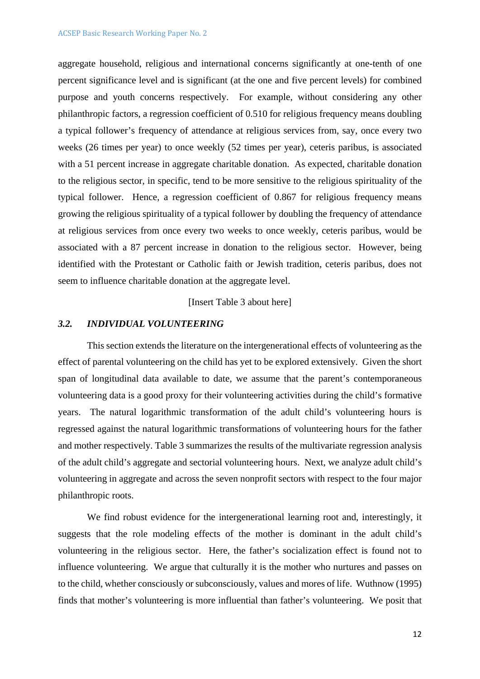aggregate household, religious and international concerns significantly at one-tenth of one percent significance level and is significant (at the one and five percent levels) for combined purpose and youth concerns respectively. For example, without considering any other philanthropic factors, a regression coefficient of 0.510 for religious frequency means doubling a typical follower's frequency of attendance at religious services from, say, once every two weeks (26 times per year) to once weekly (52 times per year), ceteris paribus, is associated with a 51 percent increase in aggregate charitable donation. As expected, charitable donation to the religious sector, in specific, tend to be more sensitive to the religious spirituality of the typical follower. Hence, a regression coefficient of 0.867 for religious frequency means growing the religious spirituality of a typical follower by doubling the frequency of attendance at religious services from once every two weeks to once weekly, ceteris paribus, would be associated with a 87 percent increase in donation to the religious sector. However, being identified with the Protestant or Catholic faith or Jewish tradition, ceteris paribus, does not seem to influence charitable donation at the aggregate level.

[Insert Table 3 about here]

## *3.2. INDIVIDUAL VOLUNTEERING*

This section extends the literature on the intergenerational effects of volunteering as the effect of parental volunteering on the child has yet to be explored extensively. Given the short span of longitudinal data available to date, we assume that the parent's contemporaneous volunteering data is a good proxy for their volunteering activities during the child's formative years. The natural logarithmic transformation of the adult child's volunteering hours is regressed against the natural logarithmic transformations of volunteering hours for the father and mother respectively. Table 3 summarizes the results of the multivariate regression analysis of the adult child's aggregate and sectorial volunteering hours. Next, we analyze adult child's volunteering in aggregate and across the seven nonprofit sectors with respect to the four major philanthropic roots.

We find robust evidence for the intergenerational learning root and, interestingly, it suggests that the role modeling effects of the mother is dominant in the adult child's volunteering in the religious sector. Here, the father's socialization effect is found not to influence volunteering. We argue that culturally it is the mother who nurtures and passes on to the child, whether consciously or subconsciously, values and mores of life. Wuthnow (1995) finds that mother's volunteering is more influential than father's volunteering. We posit that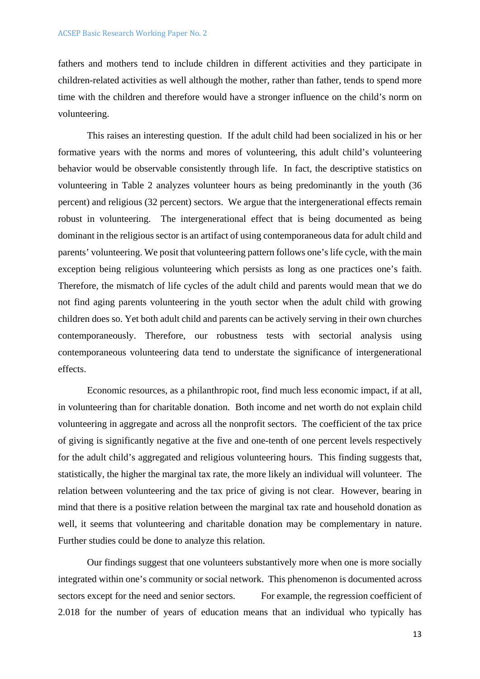fathers and mothers tend to include children in different activities and they participate in children-related activities as well although the mother, rather than father, tends to spend more time with the children and therefore would have a stronger influence on the child's norm on volunteering.

This raises an interesting question. If the adult child had been socialized in his or her formative years with the norms and mores of volunteering, this adult child's volunteering behavior would be observable consistently through life. In fact, the descriptive statistics on volunteering in Table 2 analyzes volunteer hours as being predominantly in the youth (36 percent) and religious (32 percent) sectors. We argue that the intergenerational effects remain robust in volunteering. The intergenerational effect that is being documented as being dominant in the religious sector is an artifact of using contemporaneous data for adult child and parents' volunteering. We posit that volunteering pattern follows one's life cycle, with the main exception being religious volunteering which persists as long as one practices one's faith. Therefore, the mismatch of life cycles of the adult child and parents would mean that we do not find aging parents volunteering in the youth sector when the adult child with growing children does so. Yet both adult child and parents can be actively serving in their own churches contemporaneously. Therefore, our robustness tests with sectorial analysis using contemporaneous volunteering data tend to understate the significance of intergenerational effects.

Economic resources, as a philanthropic root, find much less economic impact, if at all, in volunteering than for charitable donation. Both income and net worth do not explain child volunteering in aggregate and across all the nonprofit sectors. The coefficient of the tax price of giving is significantly negative at the five and one-tenth of one percent levels respectively for the adult child's aggregated and religious volunteering hours. This finding suggests that, statistically, the higher the marginal tax rate, the more likely an individual will volunteer. The relation between volunteering and the tax price of giving is not clear. However, bearing in mind that there is a positive relation between the marginal tax rate and household donation as well, it seems that volunteering and charitable donation may be complementary in nature. Further studies could be done to analyze this relation.

Our findings suggest that one volunteers substantively more when one is more socially integrated within one's community or social network. This phenomenon is documented across sectors except for the need and senior sectors. For example, the regression coefficient of 2.018 for the number of years of education means that an individual who typically has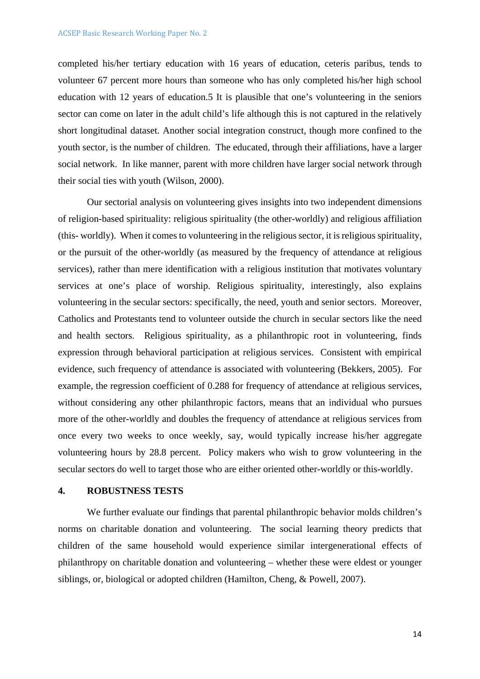completed his/her tertiary education with 16 years of education, ceteris paribus, tends to volunteer 67 percent more hours than someone who has only completed his/her high school education with 12 years of education.5 It is plausible that one's volunteering in the seniors sector can come on later in the adult child's life although this is not captured in the relatively short longitudinal dataset. Another social integration construct, though more confined to the youth sector, is the number of children. The educated, through their affiliations, have a larger social network. In like manner, parent with more children have larger social network through their social ties with youth (Wilson, 2000).

Our sectorial analysis on volunteering gives insights into two independent dimensions of religion-based spirituality: religious spirituality (the other-worldly) and religious affiliation (this- worldly). When it comes to volunteering in the religious sector, it is religious spirituality, or the pursuit of the other-worldly (as measured by the frequency of attendance at religious services), rather than mere identification with a religious institution that motivates voluntary services at one's place of worship. Religious spirituality, interestingly, also explains volunteering in the secular sectors: specifically, the need, youth and senior sectors. Moreover, Catholics and Protestants tend to volunteer outside the church in secular sectors like the need and health sectors. Religious spirituality, as a philanthropic root in volunteering, finds expression through behavioral participation at religious services. Consistent with empirical evidence, such frequency of attendance is associated with volunteering (Bekkers, 2005). For example, the regression coefficient of 0.288 for frequency of attendance at religious services, without considering any other philanthropic factors, means that an individual who pursues more of the other-worldly and doubles the frequency of attendance at religious services from once every two weeks to once weekly, say, would typically increase his/her aggregate volunteering hours by 28.8 percent. Policy makers who wish to grow volunteering in the secular sectors do well to target those who are either oriented other-worldly or this-worldly.

### **4. ROBUSTNESS TESTS**

We further evaluate our findings that parental philanthropic behavior molds children's norms on charitable donation and volunteering. The social learning theory predicts that children of the same household would experience similar intergenerational effects of philanthropy on charitable donation and volunteering – whether these were eldest or younger siblings, or, biological or adopted children (Hamilton, Cheng, & Powell, 2007).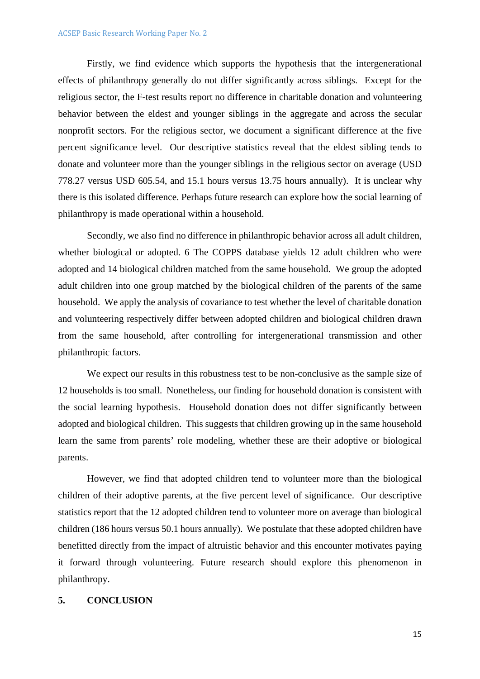Firstly, we find evidence which supports the hypothesis that the intergenerational effects of philanthropy generally do not differ significantly across siblings. Except for the religious sector, the F-test results report no difference in charitable donation and volunteering behavior between the eldest and younger siblings in the aggregate and across the secular nonprofit sectors. For the religious sector, we document a significant difference at the five percent significance level. Our descriptive statistics reveal that the eldest sibling tends to donate and volunteer more than the younger siblings in the religious sector on average (USD 778.27 versus USD 605.54, and 15.1 hours versus 13.75 hours annually). It is unclear why there is this isolated difference. Perhaps future research can explore how the social learning of philanthropy is made operational within a household.

Secondly, we also find no difference in philanthropic behavior across all adult children, whether biological or adopted. 6 The COPPS database yields 12 adult children who were adopted and 14 biological children matched from the same household. We group the adopted adult children into one group matched by the biological children of the parents of the same household. We apply the analysis of covariance to test whether the level of charitable donation and volunteering respectively differ between adopted children and biological children drawn from the same household, after controlling for intergenerational transmission and other philanthropic factors.

We expect our results in this robustness test to be non-conclusive as the sample size of 12 households is too small. Nonetheless, our finding for household donation is consistent with the social learning hypothesis. Household donation does not differ significantly between adopted and biological children. This suggests that children growing up in the same household learn the same from parents' role modeling, whether these are their adoptive or biological parents.

However, we find that adopted children tend to volunteer more than the biological children of their adoptive parents, at the five percent level of significance. Our descriptive statistics report that the 12 adopted children tend to volunteer more on average than biological children (186 hours versus 50.1 hours annually). We postulate that these adopted children have benefitted directly from the impact of altruistic behavior and this encounter motivates paying it forward through volunteering. Future research should explore this phenomenon in philanthropy.

## **5. CONCLUSION**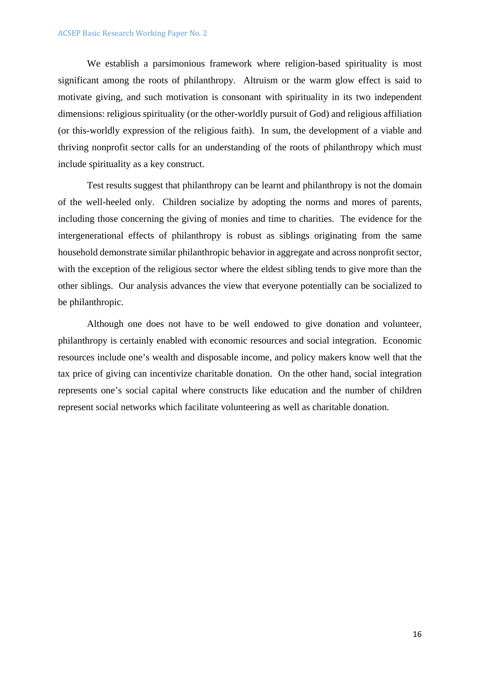We establish a parsimonious framework where religion-based spirituality is most significant among the roots of philanthropy. Altruism or the warm glow effect is said to motivate giving, and such motivation is consonant with spirituality in its two independent dimensions: religious spirituality (or the other-worldly pursuit of God) and religious affiliation (or this-worldly expression of the religious faith). In sum, the development of a viable and thriving nonprofit sector calls for an understanding of the roots of philanthropy which must include spirituality as a key construct.

Test results suggest that philanthropy can be learnt and philanthropy is not the domain of the well-heeled only. Children socialize by adopting the norms and mores of parents, including those concerning the giving of monies and time to charities. The evidence for the intergenerational effects of philanthropy is robust as siblings originating from the same household demonstrate similar philanthropic behavior in aggregate and across nonprofit sector, with the exception of the religious sector where the eldest sibling tends to give more than the other siblings. Our analysis advances the view that everyone potentially can be socialized to be philanthropic.

Although one does not have to be well endowed to give donation and volunteer, philanthropy is certainly enabled with economic resources and social integration. Economic resources include one's wealth and disposable income, and policy makers know well that the tax price of giving can incentivize charitable donation. On the other hand, social integration represents one's social capital where constructs like education and the number of children represent social networks which facilitate volunteering as well as charitable donation.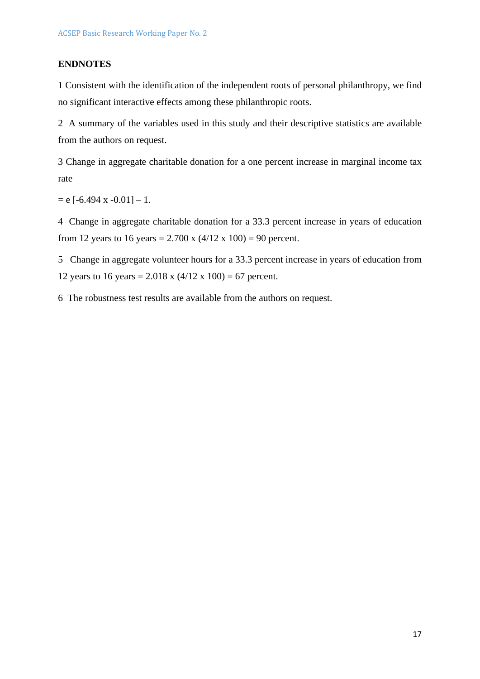## **ENDNOTES**

1 Consistent with the identification of the independent roots of personal philanthropy, we find no significant interactive effects among these philanthropic roots.

2 A summary of the variables used in this study and their descriptive statistics are available from the authors on request.

3 Change in aggregate charitable donation for a one percent increase in marginal income tax rate

 $= e$  [-6.494 x -0.01]  $- 1$ .

4 Change in aggregate charitable donation for a 33.3 percent increase in years of education from 12 years to 16 years = 2.700 x  $(4/12 \times 100) = 90$  percent.

5 Change in aggregate volunteer hours for a 33.3 percent increase in years of education from 12 years to 16 years =  $2.018 \times (4/12 \times 100) = 67$  percent.

6 The robustness test results are available from the authors on request.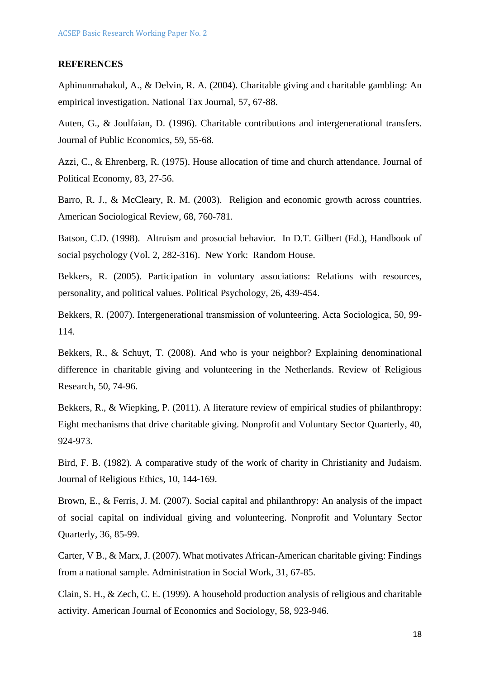#### **REFERENCES**

Aphinunmahakul, A., & Delvin, R. A. (2004). Charitable giving and charitable gambling: An empirical investigation. National Tax Journal, 57, 67-88.

Auten, G., & Joulfaian, D. (1996). Charitable contributions and intergenerational transfers. Journal of Public Economics, 59, 55-68.

Azzi, C., & Ehrenberg, R. (1975). House allocation of time and church attendance. Journal of Political Economy, 83, 27-56.

Barro, R. J., & McCleary, R. M. (2003). Religion and economic growth across countries. American Sociological Review, 68, 760-781.

Batson, C.D. (1998). Altruism and prosocial behavior. In D.T. Gilbert (Ed.), Handbook of social psychology (Vol. 2, 282-316). New York: Random House.

Bekkers, R. (2005). Participation in voluntary associations: Relations with resources, personality, and political values. Political Psychology, 26, 439-454.

Bekkers, R. (2007). Intergenerational transmission of volunteering. Acta Sociologica, 50, 99- 114.

Bekkers, R., & Schuyt, T. (2008). And who is your neighbor? Explaining denominational difference in charitable giving and volunteering in the Netherlands. Review of Religious Research, 50, 74-96.

Bekkers, R., & Wiepking, P. (2011). A literature review of empirical studies of philanthropy: Eight mechanisms that drive charitable giving. Nonprofit and Voluntary Sector Quarterly, 40, 924-973.

Bird, F. B. (1982). A comparative study of the work of charity in Christianity and Judaism. Journal of Religious Ethics, 10, 144-169.

Brown, E., & Ferris, J. M. (2007). Social capital and philanthropy: An analysis of the impact of social capital on individual giving and volunteering. Nonprofit and Voluntary Sector Quarterly, 36, 85-99.

Carter, V B., & Marx, J. (2007). What motivates African-American charitable giving: Findings from a national sample. Administration in Social Work, 31, 67-85.

Clain, S. H., & Zech, C. E. (1999). A household production analysis of religious and charitable activity. American Journal of Economics and Sociology, 58, 923-946.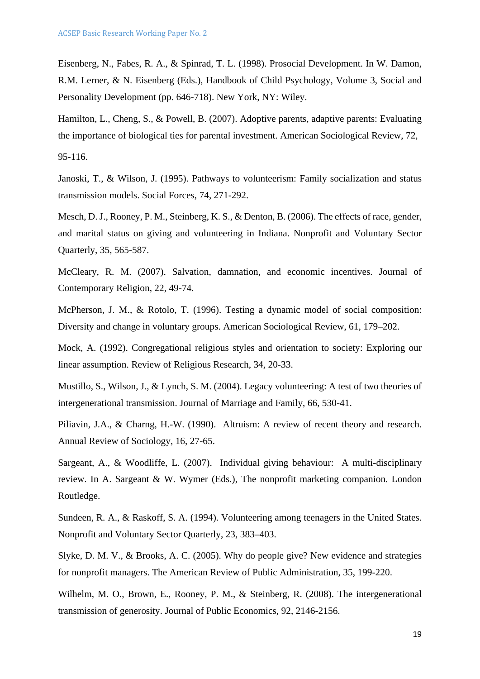Eisenberg, N., Fabes, R. A., & Spinrad, T. L. (1998). Prosocial Development. In W. Damon, R.M. Lerner, & N. Eisenberg (Eds.), Handbook of Child Psychology, Volume 3, Social and Personality Development (pp. 646-718). New York, NY: Wiley.

Hamilton, L., Cheng, S., & Powell, B. (2007). Adoptive parents, adaptive parents: Evaluating the importance of biological ties for parental investment. American Sociological Review, 72,

95-116.

Janoski, T., & Wilson, J. (1995). Pathways to volunteerism: Family socialization and status transmission models. Social Forces, 74, 271-292.

Mesch, D. J., Rooney, P. M., Steinberg, K. S., & Denton, B. (2006). The effects of race, gender, and marital status on giving and volunteering in Indiana. Nonprofit and Voluntary Sector Quarterly, 35, 565-587.

McCleary, R. M. (2007). Salvation, damnation, and economic incentives. Journal of Contemporary Religion, 22, 49-74.

McPherson, J. M., & Rotolo, T. (1996). Testing a dynamic model of social composition: Diversity and change in voluntary groups. American Sociological Review, 61, 179–202.

Mock, A. (1992). Congregational religious styles and orientation to society: Exploring our linear assumption. Review of Religious Research, 34, 20-33.

Mustillo, S., Wilson, J., & Lynch, S. M. (2004). Legacy volunteering: A test of two theories of intergenerational transmission. Journal of Marriage and Family, 66, 530-41.

Piliavin, J.A., & Charng, H.-W. (1990). Altruism: A review of recent theory and research. Annual Review of Sociology, 16, 27-65.

Sargeant, A., & Woodliffe, L. (2007). Individual giving behaviour: A multi-disciplinary review. In A. Sargeant & W. Wymer (Eds.), The nonprofit marketing companion. London Routledge.

Sundeen, R. A., & Raskoff, S. A. (1994). Volunteering among teenagers in the United States. Nonprofit and Voluntary Sector Quarterly, 23, 383–403.

Slyke, D. M. V., & Brooks, A. C. (2005). Why do people give? New evidence and strategies for nonprofit managers. The American Review of Public Administration, 35, 199-220.

Wilhelm, M. O., Brown, E., Rooney, P. M., & Steinberg, R. (2008). The intergenerational transmission of generosity. Journal of Public Economics, 92, 2146-2156.

19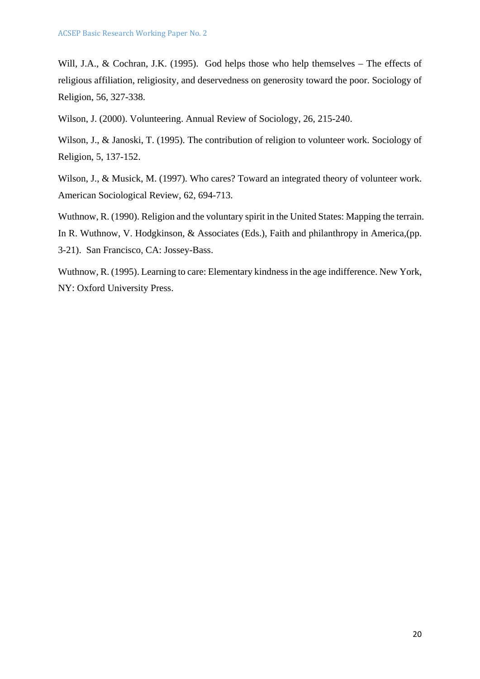Will, J.A., & Cochran, J.K. (1995). God helps those who help themselves – The effects of religious affiliation, religiosity, and deservedness on generosity toward the poor. Sociology of Religion, 56, 327-338.

Wilson, J. (2000). Volunteering. Annual Review of Sociology, 26, 215-240.

Wilson, J., & Janoski, T. (1995). The contribution of religion to volunteer work. Sociology of Religion, 5, 137-152.

Wilson, J., & Musick, M. (1997). Who cares? Toward an integrated theory of volunteer work. American Sociological Review, 62, 694-713.

Wuthnow, R. (1990). Religion and the voluntary spirit in the United States: Mapping the terrain. In R. Wuthnow, V. Hodgkinson, & Associates (Eds.), Faith and philanthropy in America, (pp. 3-21). San Francisco, CA: Jossey-Bass.

Wuthnow, R. (1995). Learning to care: Elementary kindness in the age indifference. New York, NY: Oxford University Press.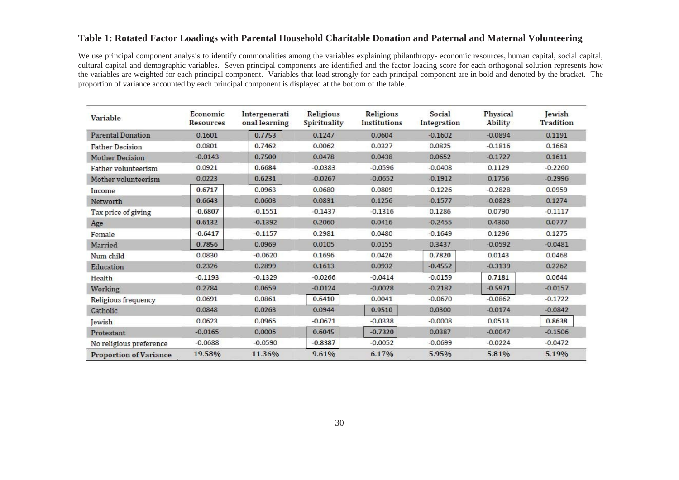#### **Table 1: Rotated Factor Loadings with Parental Household Charitable Donation and Paternal and Maternal Volunteering**

We use principal component analysis to identify commonalities among the variables explaining philanthropy- economic resources, human capital, social capital, cultural capital and demographic variables. Seven principal components are identified and the factor loading score for each orthogonal solution represents how the variables are weighted for each principal component. Variables that load strongly for each principal component are in bold and denoted by the bracket. The proportion of variance accounted by each principal component is displayed at the bottom of the table.

| <b>Variable</b>               | Economic<br>Resources | Intergenerati<br>onal learning | Religious<br>Spirituality | Religious<br>Institutions | Social<br>Integration | Physical<br><b>Ability</b> | <b>Jewish</b><br><b>Tradition</b> |
|-------------------------------|-----------------------|--------------------------------|---------------------------|---------------------------|-----------------------|----------------------------|-----------------------------------|
| <b>Parental Donation</b>      | 0.1601                | 0.7753                         | 0.1247                    | 0.0604                    | $-0.1602$             | $-0.0894$                  | 0.1191                            |
| <b>Father Decision</b>        | 0.0801                | 0.7462                         | 0.0062                    | 0.0327                    | 0.0825                | $-0.1816$                  | 0.1663                            |
| <b>Mother Decision</b>        | $-0.0143$             | 0.7500                         | 0.0478                    | 0.0438                    | 0.0652                | $-0.1727$                  | 0.1611                            |
| Father volunteerism           | 0.0921                | 0.6684                         | $-0.0383$                 | $-0.0596$                 | $-0.0408$             | 0.1129                     | $-0.2260$                         |
| Mother volunteerism           | 0.0223                | 0.6231                         | $-0.0267$                 | $-0.0652$                 | $-0.1912$             | 0.1756                     | $-0.2996$                         |
| Income                        | 0.6717                | 0.0963                         | 0.0680                    | 0.0809                    | $-0.1226$             | $-0.2828$                  | 0.0959                            |
| Networth                      | 0.6643                | 0.0603                         | 0.0831                    | 0.1256                    | $-0.1577$             | $-0.0823$                  | 0.1274                            |
| Tax price of giving           | $-0.6807$             | $-0.1551$                      | $-0.1437$                 | $-0.1316$                 | 0.1286                | 0.0790                     | $-0.1117$                         |
| Age                           | 0.6132                | $-0.1392$                      | 0.2060                    | 0.0416                    | $-0.2455$             | 0.4360                     | 0.0777                            |
| Female                        | $-0.6417$             | $-0.1157$                      | 0.2981                    | 0.0480                    | $-0.1649$             | 0.1296                     | 0.1275                            |
| Married                       | 0.7856                | 0.0969                         | 0.0105                    | 0.0155                    | 0.3437                | $-0.0592$                  | $-0.0481$                         |
| Num child                     | 0.0830                | $-0.0620$                      | 0.1696                    | 0.0426                    | 0.7820                | 0.0143                     | 0.0468                            |
| Education                     | 0.2326                | 0.2899                         | 0.1613                    | 0.0932                    | $-0.4552$             | $-0.3139$                  | 0.2262                            |
| Health                        | $-0.1193$             | $-0.1329$                      | $-0.0266$                 | $-0.0414$                 | $-0.0159$             | 0.7181                     | 0.0644                            |
| Working                       | 0.2784                | 0.0659                         | $-0.0124$                 | $-0.0028$                 | $-0.2182$             | $-0.5971$                  | $-0.0157$                         |
| Religious frequency           | 0.0691                | 0.0861                         | 0.6410                    | 0.0041                    | $-0.0670$             | $-0.0862$                  | $-0.1722$                         |
| Catholic                      | 0.0848                | 0.0263                         | 0.0944                    | 0.9510                    | 0.0300                | $-0.0174$                  | $-0.0842$                         |
| Jewish                        | 0.0623                | 0.0965                         | $-0.0671$                 | $-0.0338$                 | $-0.0008$             | 0.0513                     | 0.8638                            |
| Protestant                    | $-0.0165$             | 0.0005                         | 0.6045                    | $-0.7320$                 | 0.0387                | $-0.0047$                  | $-0.1506$                         |
| No religious preference       | $-0.0688$             | $-0.0590$                      | $-0.8387$                 | $-0.0052$                 | $-0.0699$             | $-0.0224$                  | $-0.0472$                         |
| <b>Proportion of Variance</b> | 19.58%                | 11.36%                         | 9.61%                     | 6.17%                     | 5.95%                 | 5.81%                      | 5.19%                             |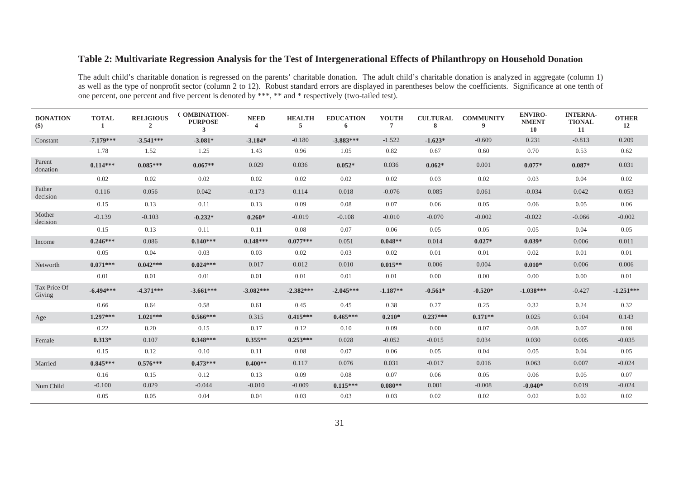## **Table 2: Multivariate Regression Analysis for the Test of Intergenerational Effects of Philanthropy on Household Donation**

The adult child's charitable donation is regressed on the parents' charitable donation. The adult child's charitable donation is analyzed in aggregate (column 1) as well as the type of nonprofit sector (column 2 to 12). Robust standard errors are displayed in parentheses below the coefficients. Significance at one tenth of one percent, one percent and five percent is denoted by \*\*\*, \*\* and \* respectively (two-tailed test).

| <b>DONATION</b><br>$(\$)$ | <b>TOTAL</b><br>-1 | <b>RELIGIOUS</b><br>$\overline{2}$ | <b>COMBINATION-</b><br><b>PURPOSE</b><br>$\mathbf{3}$ | <b>NEED</b><br>$\overline{4}$ | <b>HEALTH</b><br>$5^{\circ}$ | <b>EDUCATION</b><br>6 | <b>YOUTH</b><br>$\overline{7}$ | <b>CULTURAL</b><br>8 | <b>COMMUNITY</b><br>9 | <b>ENVIRO-</b><br><b>NMENT</b><br>10 | <b>INTERNA-</b><br><b>TIONAL</b><br>11 | <b>OTHER</b><br>12 |
|---------------------------|--------------------|------------------------------------|-------------------------------------------------------|-------------------------------|------------------------------|-----------------------|--------------------------------|----------------------|-----------------------|--------------------------------------|----------------------------------------|--------------------|
| Constant                  | $-7.179***$        | $-3.541***$                        | $-3.081*$                                             | $-3.184*$                     | $-0.180$                     | $-3.883***$           | $-1.522$                       | $-1.623*$            | $-0.609$              | 0.231                                | $-0.813$                               | 0.209              |
|                           | 1.78               | 1.52                               | 1.25                                                  | 1.43                          | 0.96                         | 1.05                  | 0.82                           | 0.67                 | 0.60                  | 0.70                                 | 0.53                                   | 0.62               |
| Parent<br>donation        | $0.114***$         | $0.085***$                         | $0.067**$                                             | 0.029                         | 0.036                        | $0.052*$              | 0.036                          | $0.062*$             | 0.001                 | $0.077*$                             | $0.087*$                               | 0.031              |
|                           | 0.02               | 0.02                               | 0.02                                                  | 0.02                          | 0.02                         | 0.02                  | 0.02                           | 0.03                 | 0.02                  | 0.03                                 | 0.04                                   | 0.02               |
| Father<br>decision        | 0.116              | 0.056                              | 0.042                                                 | $-0.173$                      | 0.114                        | 0.018                 | $-0.076$                       | 0.085                | 0.061                 | $-0.034$                             | 0.042                                  | 0.053              |
|                           | 0.15               | 0.13                               | 0.11                                                  | 0.13                          | 0.09                         | 0.08                  | 0.07                           | 0.06                 | 0.05                  | 0.06                                 | 0.05                                   | 0.06               |
| Mother<br>decision        | $-0.139$           | $-0.103$                           | $-0.232*$                                             | $0.260*$                      | $-0.019$                     | $-0.108$              | $-0.010$                       | $-0.070$             | $-0.002$              | $-0.022$                             | $-0.066$                               | $-0.002$           |
|                           | 0.15               | 0.13                               | 0.11                                                  | 0.11                          | 0.08                         | 0.07                  | 0.06                           | 0.05                 | 0.05                  | 0.05                                 | 0.04                                   | 0.05               |
| Income                    | $0.246***$         | 0.086                              | $0.140***$                                            | $0.148***$                    | $0.077***$                   | 0.051                 | $0.048**$                      | 0.014                | $0.027*$              | $0.039*$                             | 0.006                                  | 0.011              |
|                           | 0.05               | 0.04                               | 0.03                                                  | 0.03                          | 0.02                         | 0.03                  | 0.02                           | 0.01                 | 0.01                  | 0.02                                 | 0.01                                   | 0.01               |
| Networth                  | $0.071***$         | $0.042***$                         | $0.024***$                                            | 0.017                         | 0.012                        | 0.010                 | $0.015**$                      | 0.006                | 0.004                 | $0.010*$                             | 0.006                                  | 0.006              |
|                           | 0.01               | 0.01                               | 0.01                                                  | 0.01                          | 0.01                         | 0.01                  | 0.01                           | 0.00                 | 0.00                  | 0.00                                 | 0.00                                   | 0.01               |
| Tax Price Of<br>Giving    | $-6.494***$        | $-4.371***$                        | $-3.661***$                                           | $-3.082***$                   | $-2.382***$                  | $-2.045***$           | $-1.187**$                     | $-0.561*$            | $-0.520*$             | $-1.038***$                          | $-0.427$                               | $-1.251***$        |
|                           | 0.66               | 0.64                               | 0.58                                                  | 0.61                          | 0.45                         | 0.45                  | 0.38                           | 0.27                 | 0.25                  | 0.32                                 | 0.24                                   | 0.32               |
| Age                       | $1.297***$         | $1.021***$                         | $0.566***$                                            | 0.315                         | $0.415***$                   | $0.465***$            | $0.210*$                       | $0.237***$           | $0.171**$             | 0.025                                | 0.104                                  | 0.143              |
|                           | 0.22               | 0.20                               | 0.15                                                  | 0.17                          | 0.12                         | 0.10                  | 0.09                           | 0.00                 | 0.07                  | 0.08                                 | 0.07                                   | 0.08               |
| Female                    | $0.313*$           | 0.107                              | $0.348***$                                            | $0.355**$                     | $0.253***$                   | 0.028                 | $-0.052$                       | $-0.015$             | 0.034                 | 0.030                                | 0.005                                  | $-0.035$           |
|                           | 0.15               | 0.12                               | 0.10                                                  | 0.11                          | 0.08                         | 0.07                  | 0.06                           | 0.05                 | 0.04                  | 0.05                                 | 0.04                                   | 0.05               |
| Married                   | $0.845***$         | $0.576***$                         | $0.473***$                                            | $0.400**$                     | 0.117                        | 0.076                 | 0.031                          | $-0.017$             | 0.016                 | 0.063                                | 0.007                                  | $-0.024$           |
|                           | 0.16               | 0.15                               | 0.12                                                  | 0.13                          | 0.09                         | 0.08                  | 0.07                           | 0.06                 | 0.05                  | 0.06                                 | 0.05                                   | 0.07               |
| Num Child                 | $-0.100$           | 0.029                              | $-0.044$                                              | $-0.010$                      | $-0.009$                     | $0.115***$            | $0.080**$                      | 0.001                | $-0.008$              | $-0.040*$                            | 0.019                                  | $-0.024$           |
|                           | 0.05               | 0.05                               | 0.04                                                  | 0.04                          | 0.03                         | 0.03                  | 0.03                           | 0.02                 | 0.02                  | 0.02                                 | 0.02                                   | 0.02               |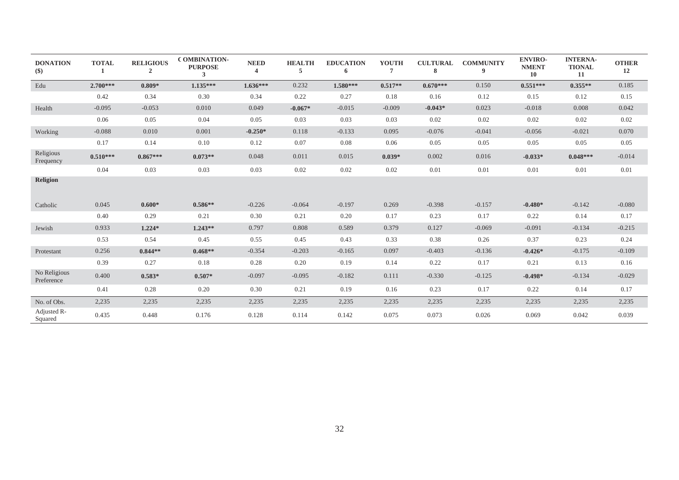| <b>DONATION</b><br>$(\$)$  | <b>TOTAL</b> | <b>RELIGIOUS</b><br>$\overline{2}$ | <b>COMBINATION-</b><br><b>PURPOSE</b><br>3 | <b>NEED</b><br>4 | <b>HEALTH</b><br>5 | <b>EDUCATION</b><br>6 | <b>YOUTH</b><br>7 | <b>CULTURAL</b><br>8 | <b>COMMUNITY</b><br>9 | <b>ENVIRO-</b><br><b>NMENT</b><br>10 | <b>INTERNA-</b><br><b>TIONAL</b><br>11 | <b>OTHER</b><br>12 |
|----------------------------|--------------|------------------------------------|--------------------------------------------|------------------|--------------------|-----------------------|-------------------|----------------------|-----------------------|--------------------------------------|----------------------------------------|--------------------|
| Edu                        | $2.700***$   | $0.809*$                           | $1.135***$                                 | $1.636***$       | 0.232              | $1.580***$            | $0.517**$         | $0.670***$           | 0.150                 | $0.551***$                           | $0.355**$                              | 0.185              |
|                            | 0.42         | 0.34                               | 0.30                                       | 0.34             | 0.22               | 0.27                  | 0.18              | 0.16                 | 0.12                  | 0.15                                 | 0.12                                   | 0.15               |
| Health                     | $-0.095$     | $-0.053$                           | 0.010                                      | 0.049            | $-0.067*$          | $-0.015$              | $-0.009$          | $-0.043*$            | 0.023                 | $-0.018$                             | 0.008                                  | 0.042              |
|                            | 0.06         | 0.05                               | 0.04                                       | 0.05             | 0.03               | 0.03                  | 0.03              | 0.02                 | 0.02                  | 0.02                                 | 0.02                                   | 0.02               |
| Working                    | $-0.088$     | 0.010                              | 0.001                                      | $-0.250*$        | 0.118              | $-0.133$              | 0.095             | $-0.076$             | $-0.041$              | $-0.056$                             | $-0.021$                               | 0.070              |
|                            | 0.17         | 0.14                               | 0.10                                       | 0.12             | 0.07               | 0.08                  | 0.06              | 0.05                 | 0.05                  | 0.05                                 | 0.05                                   | 0.05               |
| Religious<br>Frequency     | $0.510***$   | $0.867***$                         | $0.073**$                                  | 0.048            | 0.011              | 0.015                 | $0.039*$          | 0.002                | 0.016                 | $-0.033*$                            | $0.048***$                             | $-0.014$           |
|                            | 0.04         | 0.03                               | 0.03                                       | 0.03             | 0.02               | 0.02                  | 0.02              | 0.01                 | 0.01                  | 0.01                                 | 0.01                                   | 0.01               |
| <b>Religion</b>            |              |                                    |                                            |                  |                    |                       |                   |                      |                       |                                      |                                        |                    |
| Catholic                   | 0.045        | $0.600*$                           | $0.586**$                                  | $-0.226$         | $-0.064$           | $-0.197$              | 0.269             | $-0.398$             | $-0.157$              | $-0.480*$                            | $-0.142$                               | $-0.080$           |
|                            | 0.40         | 0.29                               | 0.21                                       | 0.30             | 0.21               | 0.20                  | 0.17              | 0.23                 | 0.17                  | 0.22                                 | 0.14                                   | 0.17               |
| Jewish                     | 0.933        | $1.224*$                           | $1.243**$                                  | 0.797            | 0.808              | 0.589                 | 0.379             | 0.127                | $-0.069$              | $-0.091$                             | $-0.134$                               | $-0.215$           |
|                            | 0.53         | 0.54                               | 0.45                                       | 0.55             | 0.45               | 0.43                  | 0.33              | 0.38                 | 0.26                  | 0.37                                 | 0.23                                   | 0.24               |
| Protestant                 | 0.256        | $0.844**$                          | $0.468**$                                  | $-0.354$         | $-0.203$           | $-0.165$              | 0.097             | $-0.403$             | $-0.136$              | $-0.426*$                            | $-0.175$                               | $-0.109$           |
|                            | 0.39         | 0.27                               | 0.18                                       | 0.28             | 0.20               | 0.19                  | 0.14              | 0.22                 | 0.17                  | 0.21                                 | 0.13                                   | 0.16               |
| No Religious<br>Preference | 0.400        | $0.583*$                           | $0.507*$                                   | $-0.097$         | $-0.095$           | $-0.182$              | 0.111             | $-0.330$             | $-0.125$              | $-0.498*$                            | $-0.134$                               | $-0.029$           |
|                            | 0.41         | 0.28                               | 0.20                                       | 0.30             | 0.21               | 0.19                  | 0.16              | 0.23                 | 0.17                  | 0.22                                 | 0.14                                   | 0.17               |
| No. of Obs.                | 2,235        | 2,235                              | 2,235                                      | 2,235            | 2,235              | 2,235                 | 2,235             | 2,235                | 2,235                 | 2,235                                | 2,235                                  | 2,235              |
| Adjusted R-<br>Squared     | 0.435        | 0.448                              | 0.176                                      | 0.128            | 0.114              | 0.142                 | 0.075             | 0.073                | 0.026                 | 0.069                                | 0.042                                  | 0.039              |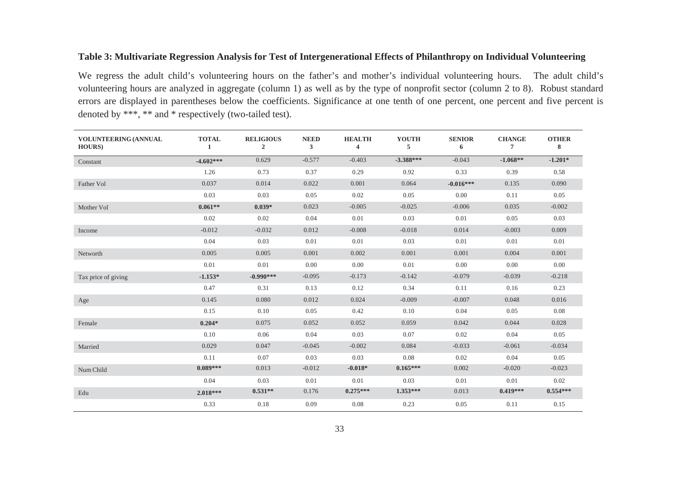### **Table 3: Multivariate Regression Analysis for Test of Intergenerational Effects of Philanthropy on Individual Volunteering**

We regress the adult child's volunteering hours on the father's and mother's individual volunteering hours. The adult child's volunteering hours are analyzed in aggregate (column 1) as well as by the type of nonprofit sector (column 2 to 8). Robust standard errors are displayed in parentheses below the coefficients. Significance at one tenth of one percent, one percent and five percent is denoted by \*\*\*, \*\* and \* respectively (two-tailed test).

| <b>VOLUNTEERING (ANNUAL</b><br><b>HOURS</b> ) | <b>TOTAL</b><br>-1 | <b>RELIGIOUS</b><br>$\overline{2}$ | <b>NEED</b><br>$\mathbf{3}$ | <b>HEALTH</b><br>4 | <b>YOUTH</b><br>5 | <b>SENIOR</b><br>6 | <b>CHANGE</b><br>$\overline{7}$ | <b>OTHER</b><br>8 |
|-----------------------------------------------|--------------------|------------------------------------|-----------------------------|--------------------|-------------------|--------------------|---------------------------------|-------------------|
| Constant                                      | $-4.602***$        | 0.629                              | $-0.577$                    | $-0.403$           | $-3.388***$       | $-0.043$           | $-1.068**$                      | $-1.201*$         |
|                                               | 1.26               | 0.73                               | 0.37                        | 0.29               | 0.92              | 0.33               | 0.39                            | 0.58              |
| Father Vol                                    | 0.037              | 0.014                              | 0.022                       | 0.001              | 0.064             | $-0.016***$        | 0.135                           | 0.090             |
|                                               | 0.03               | 0.03                               | 0.05                        | 0.02               | 0.05              | 0.00               | 0.11                            | 0.05              |
| Mother Vol                                    | $0.061**$          | $0.039*$                           | 0.023                       | $-0.005$           | $-0.025$          | $-0.006$           | 0.035                           | $-0.002$          |
|                                               | 0.02               | 0.02                               | 0.04                        | 0.01               | 0.03              | 0.01               | 0.05                            | 0.03              |
| Income                                        | $-0.012$           | $-0.032$                           | 0.012                       | $-0.008$           | $-0.018$          | 0.014              | $-0.003$                        | 0.009             |
|                                               | 0.04               | 0.03                               | 0.01                        | 0.01               | 0.03              | 0.01               | 0.01                            | 0.01              |
| Networth                                      | 0.005              | 0.005                              | 0.001                       | 0.002              | 0.001             | 0.001              | 0.004                           | 0.001             |
|                                               | 0.01               | 0.01                               | 0.00                        | $0.00\,$           | 0.01              | 0.00               | $0.00\,$                        | $0.00\,$          |
| Tax price of giving                           | $-1.153*$          | $-0.990***$                        | $-0.095$                    | $-0.173$           | $-0.142$          | $-0.079$           | $-0.039$                        | $-0.218$          |
|                                               | 0.47               | 0.31                               | 0.13                        | 0.12               | 0.34              | 0.11               | 0.16                            | 0.23              |
| Age                                           | 0.145              | 0.080                              | 0.012                       | 0.024              | $-0.009$          | $-0.007$           | 0.048                           | 0.016             |
|                                               | 0.15               | 0.10                               | 0.05                        | 0.42               | 0.10              | 0.04               | 0.05                            | 0.08              |
| Female                                        | $0.204*$           | 0.075                              | 0.052                       | 0.052              | 0.059             | 0.042              | 0.044                           | 0.028             |
|                                               | 0.10               | 0.06                               | 0.04                        | 0.03               | 0.07              | 0.02               | 0.04                            | 0.05              |
| Married                                       | 0.029              | 0.047                              | $-0.045$                    | $-0.002$           | 0.084             | $-0.033$           | $-0.061$                        | $-0.034$          |
|                                               | 0.11               | 0.07                               | 0.03                        | 0.03               | 0.08              | 0.02               | 0.04                            | 0.05              |
| Num Child                                     | $0.089***$         | 0.013                              | $-0.012$                    | $-0.018*$          | $0.165***$        | 0.002              | $-0.020$                        | $-0.023$          |
|                                               | 0.04               | 0.03                               | 0.01                        | 0.01               | 0.03              | 0.01               | 0.01                            | 0.02              |
| Edu                                           | $2.018***$         | $0.531**$                          | 0.176                       | $0.275***$         | $1.353***$        | 0.013              | $0.419***$                      | $0.554***$        |
|                                               | 0.33               | 0.18                               | 0.09                        | 0.08               | 0.23              | 0.05               | 0.11                            | 0.15              |